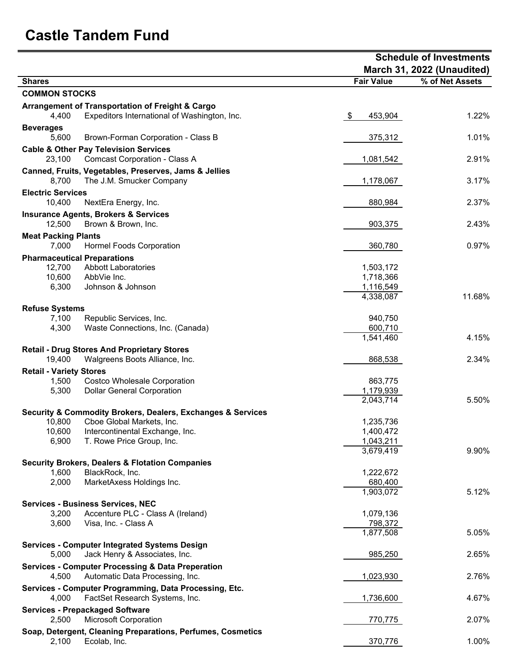## **Castle Tandem Fund**

|                                     |                                                                                                             |                        | <b>Schedule of Investments</b> |  |  |
|-------------------------------------|-------------------------------------------------------------------------------------------------------------|------------------------|--------------------------------|--|--|
|                                     |                                                                                                             |                        | March 31, 2022 (Unaudited)     |  |  |
| <b>Shares</b>                       |                                                                                                             | <b>Fair Value</b>      | % of Net Assets                |  |  |
| <b>COMMON STOCKS</b>                |                                                                                                             |                        |                                |  |  |
| 4,400                               | <b>Arrangement of Transportation of Freight &amp; Cargo</b><br>Expeditors International of Washington, Inc. | \$<br>453,904          | 1.22%                          |  |  |
| <b>Beverages</b><br>5,600           | Brown-Forman Corporation - Class B                                                                          | 375,312                | 1.01%                          |  |  |
| 23,100                              | <b>Cable &amp; Other Pay Television Services</b><br><b>Comcast Corporation - Class A</b>                    | 1,081,542              | 2.91%                          |  |  |
| 8,700                               | Canned, Fruits, Vegetables, Preserves, Jams & Jellies<br>The J.M. Smucker Company                           | 1,178,067              | 3.17%                          |  |  |
| <b>Electric Services</b>            |                                                                                                             |                        |                                |  |  |
| 10,400                              | NextEra Energy, Inc.<br><b>Insurance Agents, Brokers &amp; Services</b>                                     | 880,984                | 2.37%                          |  |  |
| 12,500                              | Brown & Brown, Inc.                                                                                         | 903,375                | 2.43%                          |  |  |
| <b>Meat Packing Plants</b><br>7,000 | <b>Hormel Foods Corporation</b>                                                                             | 360,780                | 0.97%                          |  |  |
|                                     | <b>Pharmaceutical Preparations</b>                                                                          |                        |                                |  |  |
| 12,700                              | <b>Abbott Laboratories</b>                                                                                  | 1,503,172              |                                |  |  |
| 10,600<br>6,300                     | AbbVie Inc.                                                                                                 | 1,718,366              |                                |  |  |
|                                     | Johnson & Johnson                                                                                           | 1,116,549<br>4,338,087 | 11.68%                         |  |  |
| <b>Refuse Systems</b>               |                                                                                                             |                        |                                |  |  |
| 7,100                               | Republic Services, Inc.                                                                                     | 940,750                |                                |  |  |
| 4,300                               | Waste Connections, Inc. (Canada)                                                                            | 600,710                |                                |  |  |
|                                     |                                                                                                             | 1,541,460              | 4.15%                          |  |  |
| 19,400                              | <b>Retail - Drug Stores And Proprietary Stores</b><br>Walgreens Boots Alliance, Inc.                        | 868,538                | 2.34%                          |  |  |
| <b>Retail - Variety Stores</b>      |                                                                                                             |                        |                                |  |  |
| 1,500                               | <b>Costco Wholesale Corporation</b>                                                                         | 863,775                |                                |  |  |
| 5,300                               | <b>Dollar General Corporation</b>                                                                           | 1,179,939<br>2,043,714 | 5.50%                          |  |  |
|                                     | Security & Commodity Brokers, Dealers, Exchanges & Services                                                 |                        |                                |  |  |
| 10,800                              | Cboe Global Markets, Inc.                                                                                   | 1,235,736              |                                |  |  |
| 10,600                              | Intercontinental Exchange, Inc.                                                                             | 1,400,472              |                                |  |  |
| 6,900                               | T. Rowe Price Group, Inc.                                                                                   | 1,043,211              |                                |  |  |
|                                     |                                                                                                             | 3,679,419              | 9.90%                          |  |  |
|                                     | <b>Security Brokers, Dealers &amp; Flotation Companies</b>                                                  |                        |                                |  |  |
| 1,600                               | BlackRock, Inc.                                                                                             | 1,222,672              |                                |  |  |
| 2,000                               | MarketAxess Holdings Inc.                                                                                   | 680,400<br>1,903,072   | 5.12%                          |  |  |
|                                     | <b>Services - Business Services, NEC</b>                                                                    |                        |                                |  |  |
| 3,200                               | Accenture PLC - Class A (Ireland)                                                                           | 1,079,136              |                                |  |  |
| 3,600                               | Visa, Inc. - Class A                                                                                        | 798,372                |                                |  |  |
|                                     |                                                                                                             | 1,877,508              | 5.05%                          |  |  |
| 5,000                               | <b>Services - Computer Integrated Systems Design</b><br>Jack Henry & Associates, Inc.                       | 985,250                | 2.65%                          |  |  |
| 4,500                               | <b>Services - Computer Processing &amp; Data Preperation</b><br>Automatic Data Processing, Inc.             | 1,023,930              | 2.76%                          |  |  |
| 4,000                               | Services - Computer Programming, Data Processing, Etc.<br>FactSet Research Systems, Inc.                    | 1,736,600              | 4.67%                          |  |  |
|                                     | <b>Services - Prepackaged Software</b>                                                                      |                        |                                |  |  |
| 2,500                               | <b>Microsoft Corporation</b>                                                                                | 770,775                | 2.07%                          |  |  |
| 2,100                               | Soap, Detergent, Cleaning Preparations, Perfumes, Cosmetics<br>Ecolab, Inc.                                 | 370,776                | 1.00%                          |  |  |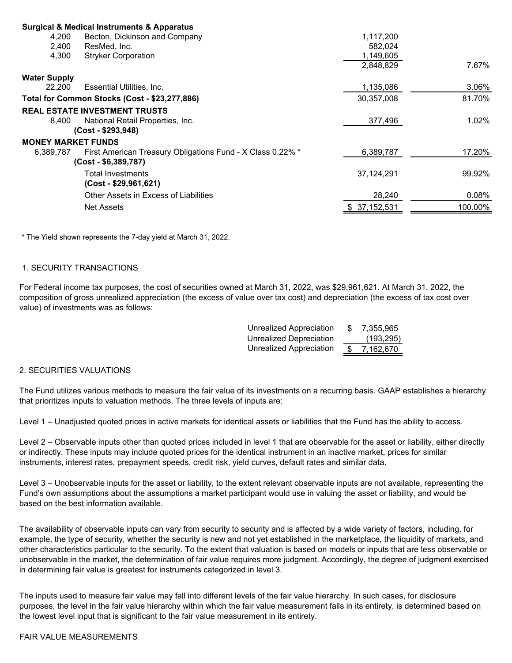|                           | <b>Surgical &amp; Medical Instruments &amp; Apparatus</b>  |            |         |
|---------------------------|------------------------------------------------------------|------------|---------|
| 4,200                     | Becton, Dickinson and Company                              | 1,117,200  |         |
| 2,400                     | ResMed, Inc.                                               | 582,024    |         |
| 4,300                     | <b>Stryker Corporation</b>                                 | 1,149,605  |         |
|                           |                                                            | 2,848,829  | 7.67%   |
| <b>Water Supply</b>       |                                                            |            |         |
| 22,200                    | Essential Utilities, Inc.                                  | 1,135,086  | 3.06%   |
|                           | Total for Common Stocks (Cost - \$23,277,886)              | 30,357,008 | 81.70%  |
|                           | <b>REAL ESTATE INVESTMENT TRUSTS</b>                       |            |         |
| 8.400                     | National Retail Properties, Inc.                           | 377,496    | 1.02%   |
|                           | (Cost - \$293,948)                                         |            |         |
| <b>MONEY MARKET FUNDS</b> |                                                            |            |         |
| 6,389,787                 | First American Treasury Obligations Fund - X Class 0.22% * | 6,389,787  | 17.20%  |
|                           | $(Cost - $6,389,787)$                                      |            |         |
|                           | Total Investments                                          | 37,124,291 | 99.92%  |
|                           | $(Cost - $29,961,621)$                                     |            |         |
|                           | Other Assets in Excess of Liabilities                      | 28,240     | 0.08%   |
|                           | <b>Net Assets</b>                                          | 37,152,531 | 100.00% |
|                           |                                                            |            |         |

\* The Yield shown represents the 7-day yield at March 31, 2022.

## 1. SECURITY TRANSACTIONS

For Federal income tax purposes, the cost of securities owned at March 31, 2022, was \$29,961,621. At March 31, 2022, the composition of gross unrealized appreciation (the excess of value over tax cost) and depreciation (the excess of tax cost over value) of investments was as follows:

| <b>Unrealized Appreciation</b> | -SS | 7.355.965  |
|--------------------------------|-----|------------|
| <b>Unrealized Depreciation</b> |     | (193, 295) |
| <b>Unrealized Appreciation</b> | S.  | 7,162,670  |

## 2. SECURITIES VALUATIONS

The Fund utilizes various methods to measure the fair value of its investments on a recurring basis. GAAP establishes a hierarchy that prioritizes inputs to valuation methods. The three levels of inputs are:

Level 1 – Unadjusted quoted prices in active markets for identical assets or liabilities that the Fund has the ability to access.

Level 2 – Observable inputs other than quoted prices included in level 1 that are observable for the asset or liability, either directly or indirectly. These inputs may include quoted prices for the identical instrument in an inactive market, prices for similar instruments, interest rates, prepayment speeds, credit risk, yield curves, default rates and similar data.

Level 3 – Unobservable inputs for the asset or liability, to the extent relevant observable inputs are not available, representing the Fund's own assumptions about the assumptions a market participant would use in valuing the asset or liability, and would be based on the best information available.

The availability of observable inputs can vary from security to security and is affected by a wide variety of factors, including, for example, the type of security, whether the security is new and not yet established in the marketplace, the liquidity of markets, and other characteristics particular to the security. To the extent that valuation is based on models or inputs that are less observable or unobservable in the market, the determination of fair value requires more judgment. Accordingly, the degree of judgment exercised in determining fair value is greatest for instruments categorized in level 3.

The inputs used to measure fair value may fall into different levels of the fair value hierarchy. In such cases, for disclosure purposes, the level in the fair value hierarchy within which the fair value measurement falls in its entirety, is determined based on the lowest level input that is significant to the fair value measurement in its entirety.